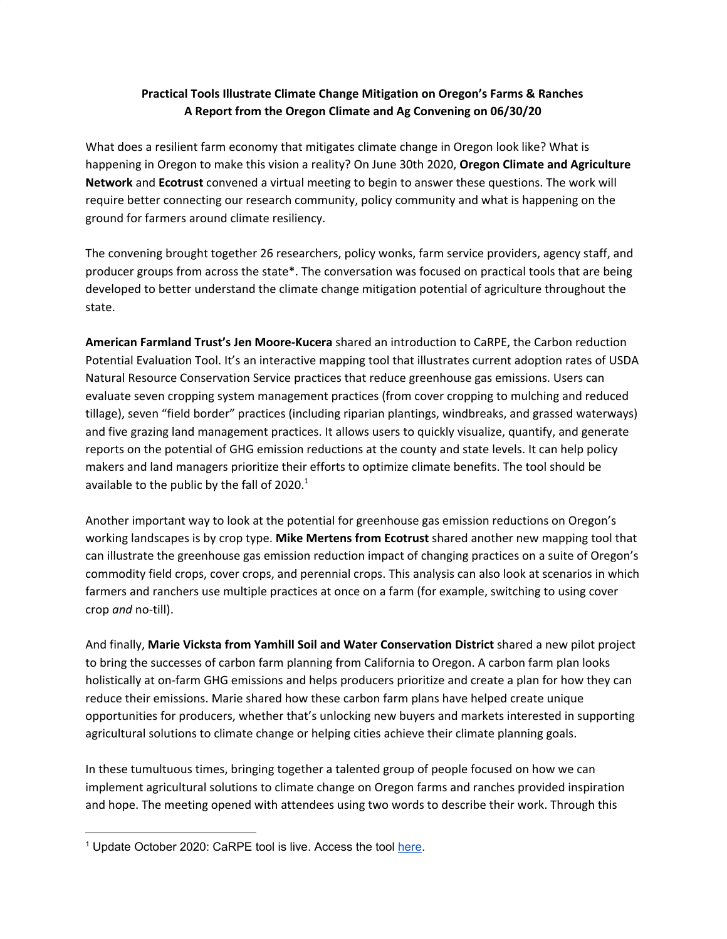## **Practical Tools Illustrate Climate Change Mitigation on Oregon's Farms & Ranches A Report from the Oregon Climate and Ag Convening on 06/30/20**

What does a resilient farm economy that mitigates climate change in Oregon look like? What is happening in Oregon to make this vision a reality? On June 30th 2020, **Oregon Climate and Agriculture Network** and **Ecotrust** convened a virtual meeting to begin to answer these questions. The work will require better connecting our research community, policy community and what is happening on the ground for farmers around climate resiliency.

The convening brought together 26 researchers, policy wonks, farm service providers, agency staff, and producer groups from across the state\*. The conversation was focused on practical tools that are being developed to better understand the climate change mitigation potential of agriculture throughout the state.

**American Farmland Trust's Jen Moore-Kucera** shared an introduction to CaRPE, the Carbon reduction Potential Evaluation Tool. It's an interactive mapping tool that illustrates current adoption rates of USDA Natural Resource Conservation Service practices that reduce greenhouse gas emissions. Users can evaluate seven cropping system management practices (from cover cropping to mulching and reduced tillage), seven "field border" practices (including riparian plantings, windbreaks, and grassed waterways) and five grazing land management practices. It allows users to quickly visualize, quantify, and generate reports on the potential of GHG emission reductions at the county and state levels. It can help policy makers and land managers prioritize their efforts to optimize climate benefits. The tool should be available to the public by the fall of 2020. $^1$ 

Another important way to look at the potential for greenhouse gas emission reductions on Oregon's working landscapes is by crop type. **Mike Mertens from Ecotrust** shared another new mapping tool that can illustrate the greenhouse gas emission reduction impact of changing practices on a suite of Oregon's commodity field crops, cover crops, and perennial crops. This analysis can also look at scenarios in which farmers and ranchers use multiple practices at once on a farm (for example, switching to using cover crop *and* no-till).

And finally, **Marie Vicksta from Yamhill Soil and Water Conservation District** shared a new pilot project to bring the successes of carbon farm planning from California to Oregon. A carbon farm plan looks holistically at on-farm GHG emissions and helps producers prioritize and create a plan for how they can reduce their emissions. Marie shared how these carbon farm plans have helped create unique opportunities for producers, whether that's unlocking new buyers and markets interested in supporting agricultural solutions to climate change or helping cities achieve their climate planning goals.

In these tumultuous times, bringing together a talented group of people focused on how we can implement agricultural solutions to climate change on Oregon farms and ranches provided inspiration and hope. The meeting opened with attendees using two words to describe their work. Through this

<sup>&</sup>lt;sup>1</sup> Update October 2020: CaRPE tool is live. Access the tool [here.](https://farmland.org/carpetool/)